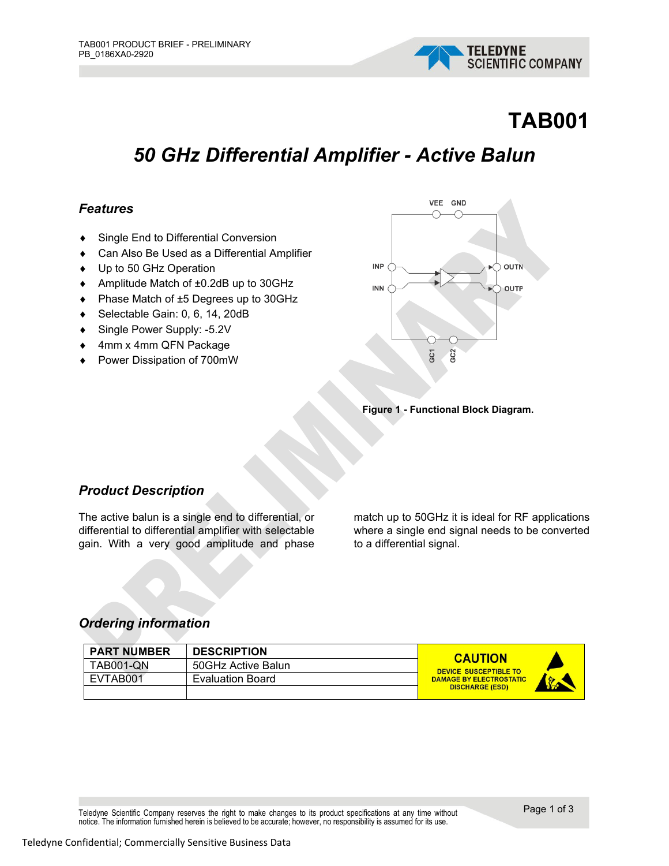

# **TAB001**

# *50 GHz Differential Amplifier - Active Balun*

### *Features*

- ♦ Single End to Differential Conversion
- ♦ Can Also Be Used as a Differential Amplifier
- ♦ Up to 50 GHz Operation
- ♦ Amplitude Match of ±0.2dB up to 30GHz
- ♦ Phase Match of ±5 Degrees up to 30GHz
- ♦ Selectable Gain: 0, 6, 14, 20dB
- ♦ Single Power Supply: -5.2V
- 4mm x 4mm QFN Package
- ♦ Power Dissipation of 700mW



**Figure 1 - Functional Block Diagram.**

## *Product Description*

The active balun is a single end to differential, or differential to differential amplifier with selectable gain. With a very good amplitude and phase

match up to 50GHz it is ideal for RF applications where a single end signal needs to be converted to a differential signal.

#### *Ordering information*

| <b>PART NUMBER</b> | <b>DESCRIPTION</b>      | <b>CAUTION</b>                                   |
|--------------------|-------------------------|--------------------------------------------------|
| TAB001-QN          | 50GHz Active Balun      | DEVICE SUSCEPTIBLE TO                            |
| EVTAB001           | <b>Evaluation Board</b> | <b>DAMAGE BY ELECTROSTATIC</b><br><b>Society</b> |
|                    |                         | <b>DISCHARGE (ESD)</b>                           |

Teledyne Scientific Company reserves the right to make changes to its product specifications at any time without notice. The information furnished herein is believed to be accurate; however, no responsibility is assumed for its use.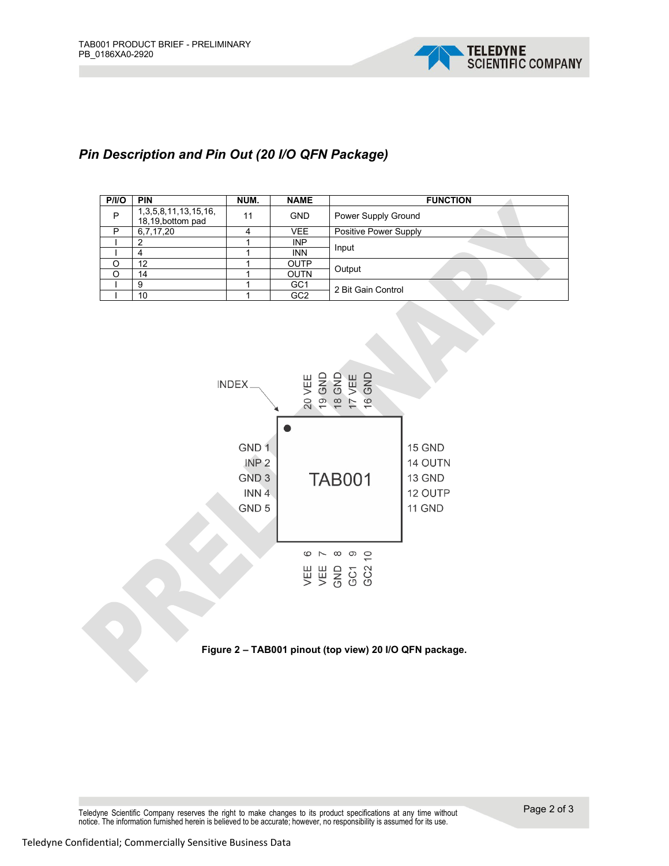

# *Pin Description and Pin Out (20 I/O QFN Package)*

| P/IO | <b>PIN</b>                                       | NUM. | <b>NAME</b>     | <b>FUNCTION</b>       |  |
|------|--------------------------------------------------|------|-----------------|-----------------------|--|
| P    | 1, 3, 5, 8, 11, 13, 15, 16,<br>18,19, bottom pad | 11   | <b>GND</b>      | Power Supply Ground   |  |
| P    | 6,7,17,20                                        |      | <b>VEE</b>      | Positive Power Supply |  |
|      |                                                  |      | <b>INP</b>      | Input                 |  |
|      | 4                                                |      | <b>INN</b>      |                       |  |
| O    | 12                                               |      | <b>OUTP</b>     | Output                |  |
| Ω    | 14                                               |      | <b>OUTN</b>     |                       |  |
|      | 9                                                |      | GC <sub>1</sub> | 2 Bit Gain Control    |  |
|      | 10                                               |      | GC <sub>2</sub> |                       |  |



**Figure 2 – TAB001 pinout (top view) 20 I/O QFN package.**

Teledyne Scientific Company reserves the right to make changes to its product specifications at any time without notice. The information furnished herein is believed to be accurate; however, no responsibility is assumed for its use.